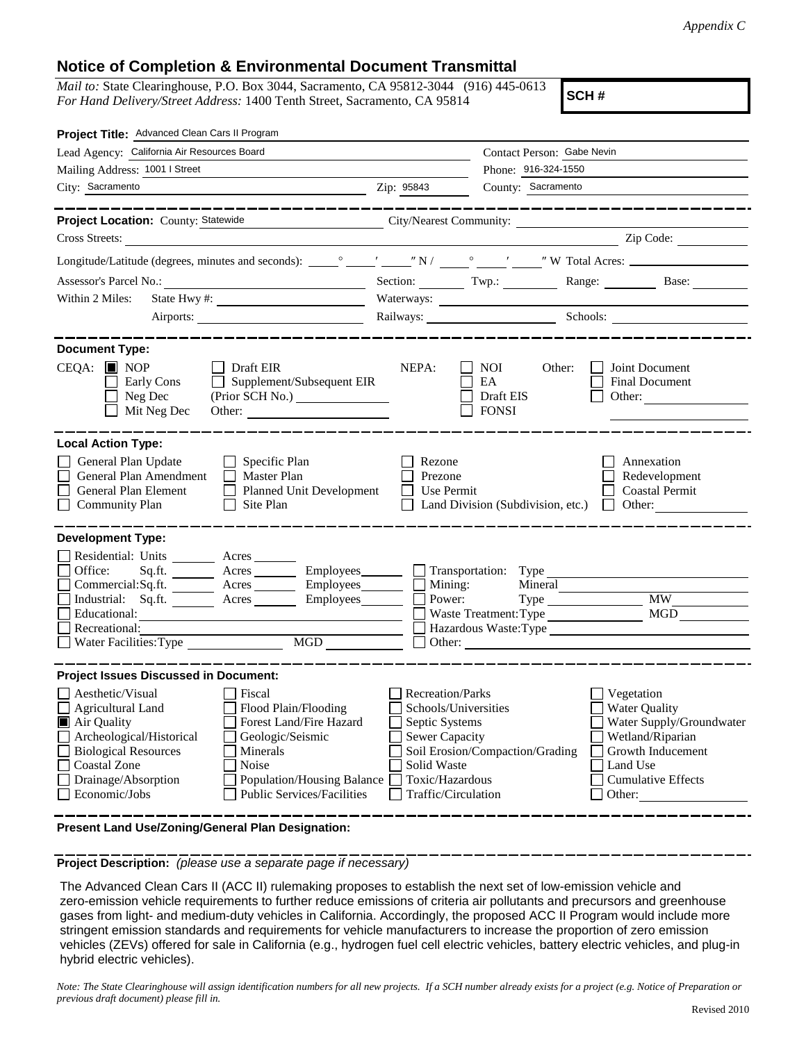## **Notice of Completion & Environmental Document Transmittal**

*Mail to:* State Clearinghouse, P.O. Box 3044, Sacramento, CA 95812-3044 (916) 445-0613 *For Hand Delivery/Street Address:* 1400 Tenth Street, Sacramento, CA 95814

**SCH #**

| Project Title: Advanced Clean Cars II Program                                                                                                                                                                                                                                                                                                             |                                                                                                                                                     |                                                   |                                                                                                                                                            |  |  |
|-----------------------------------------------------------------------------------------------------------------------------------------------------------------------------------------------------------------------------------------------------------------------------------------------------------------------------------------------------------|-----------------------------------------------------------------------------------------------------------------------------------------------------|---------------------------------------------------|------------------------------------------------------------------------------------------------------------------------------------------------------------|--|--|
| Lead Agency: California Air Resources Board                                                                                                                                                                                                                                                                                                               | Contact Person: Gabe Nevin                                                                                                                          |                                                   |                                                                                                                                                            |  |  |
| Mailing Address: 1001   Street                                                                                                                                                                                                                                                                                                                            | Phone: 916-324-1550                                                                                                                                 |                                                   |                                                                                                                                                            |  |  |
| City: Sacramento                                                                                                                                                                                                                                                                                                                                          | Zip: 95843                                                                                                                                          | County: Sacramento                                |                                                                                                                                                            |  |  |
| Project Location: County: Statewide<br>City/Nearest Community:<br>Cross Streets:<br><u> 1989 - Johann Stein, fransk politik (</u>                                                                                                                                                                                                                         |                                                                                                                                                     |                                                   | _____________________<br>Zip Code:                                                                                                                         |  |  |
|                                                                                                                                                                                                                                                                                                                                                           |                                                                                                                                                     |                                                   |                                                                                                                                                            |  |  |
| Assessor's Parcel No.:<br><u> 1989 - Johann Barbara, martxa alemaniar a</u>                                                                                                                                                                                                                                                                               |                                                                                                                                                     |                                                   | Section: Twp.: Range: Base:                                                                                                                                |  |  |
| Within 2 Miles:                                                                                                                                                                                                                                                                                                                                           |                                                                                                                                                     |                                                   |                                                                                                                                                            |  |  |
| Airports:                                                                                                                                                                                                                                                                                                                                                 |                                                                                                                                                     |                                                   | Railways: Schools: Schools:                                                                                                                                |  |  |
| _____________                                                                                                                                                                                                                                                                                                                                             |                                                                                                                                                     |                                                   |                                                                                                                                                            |  |  |
| <b>Document Type:</b><br>$CEQA:$ MOP<br>Draft EIR<br>Supplement/Subsequent EIR<br>Early Cons<br>Neg Dec<br>(Prior SCH No.)<br>Mit Neg Dec<br>Other:                                                                                                                                                                                                       | NEPA:                                                                                                                                               | NOI.<br>Other:<br>EA<br>Draft EIS<br><b>FONSI</b> | Joint Document<br>Final Document<br>Other:                                                                                                                 |  |  |
| <b>Local Action Type:</b>                                                                                                                                                                                                                                                                                                                                 |                                                                                                                                                     |                                                   |                                                                                                                                                            |  |  |
| General Plan Update<br>Specific Plan<br>General Plan Amendment<br>$\Box$ Master Plan<br>General Plan Element<br>Planned Unit Development<br>Community Plan<br>Site Plan                                                                                                                                                                                   | Rezone<br>Prezone<br>Use Permit                                                                                                                     | Land Division (Subdivision, etc.)                 | Annexation<br>Redevelopment<br><b>Coastal Permit</b><br>$\Box$ Other:                                                                                      |  |  |
| <b>Development Type:</b><br>Residential: Units ________ Acres _______<br>Office:<br>Sq.ft. $\qquad$<br>Commercial:Sq.ft. ________ Acres _______<br>Employees________<br>Industrial: Sq.ft. Acres<br>Employees________<br>Educational:<br>Recreational:<br>$\overline{\text{MGD}}$<br>Water Facilities: Type                                               | Power:                                                                                                                                              | Mining:<br>Mineral<br>Waste Treatment: Type MGD   | <b>MW</b>                                                                                                                                                  |  |  |
| <b>Project Issues Discussed in Document:</b>                                                                                                                                                                                                                                                                                                              |                                                                                                                                                     |                                                   |                                                                                                                                                            |  |  |
| Aesthetic/Visual<br>  Fiscal<br>Flood Plain/Flooding<br>Agricultural Land<br>Air Quality<br>Forest Land/Fire Hazard<br>Archeological/Historical<br>Geologic/Seismic<br><b>Biological Resources</b><br>Minerals<br><b>Coastal Zone</b><br>Noise<br>Drainage/Absorption<br>Population/Housing Balance<br><b>Public Services/Facilities</b><br>Economic/Jobs | <b>Recreation/Parks</b><br>Schools/Universities<br>Septic Systems<br><b>Sewer Capacity</b><br>Solid Waste<br>Toxic/Hazardous<br>Traffic/Circulation | Soil Erosion/Compaction/Grading                   | Vegetation<br><b>Water Quality</b><br>Water Supply/Groundwater<br>Wetland/Riparian<br>Growth Inducement<br>Land Use<br><b>Cumulative Effects</b><br>Other: |  |  |

**Present Land Use/Zoning/General Plan Designation:**

**Project Description:** *(please use a separate page if necessary)*

 The Advanced Clean Cars II (ACC II) rulemaking proposes to establish the next set of low-emission vehicle and zero-emission vehicle requirements to further reduce emissions of criteria air pollutants and precursors and greenhouse gases from light- and medium-duty vehicles in California. Accordingly, the proposed ACC II Program would include more stringent emission standards and requirements for vehicle manufacturers to increase the proportion of zero emission vehicles (ZEVs) offered for sale in California (e.g., hydrogen fuel cell electric vehicles, battery electric vehicles, and plug-in hybrid electric vehicles).

*Note: The State Clearinghouse will assign identification numbers for all new projects. If a SCH number already exists for a project (e.g. Notice of Preparation or previous draft document) please fill in.*